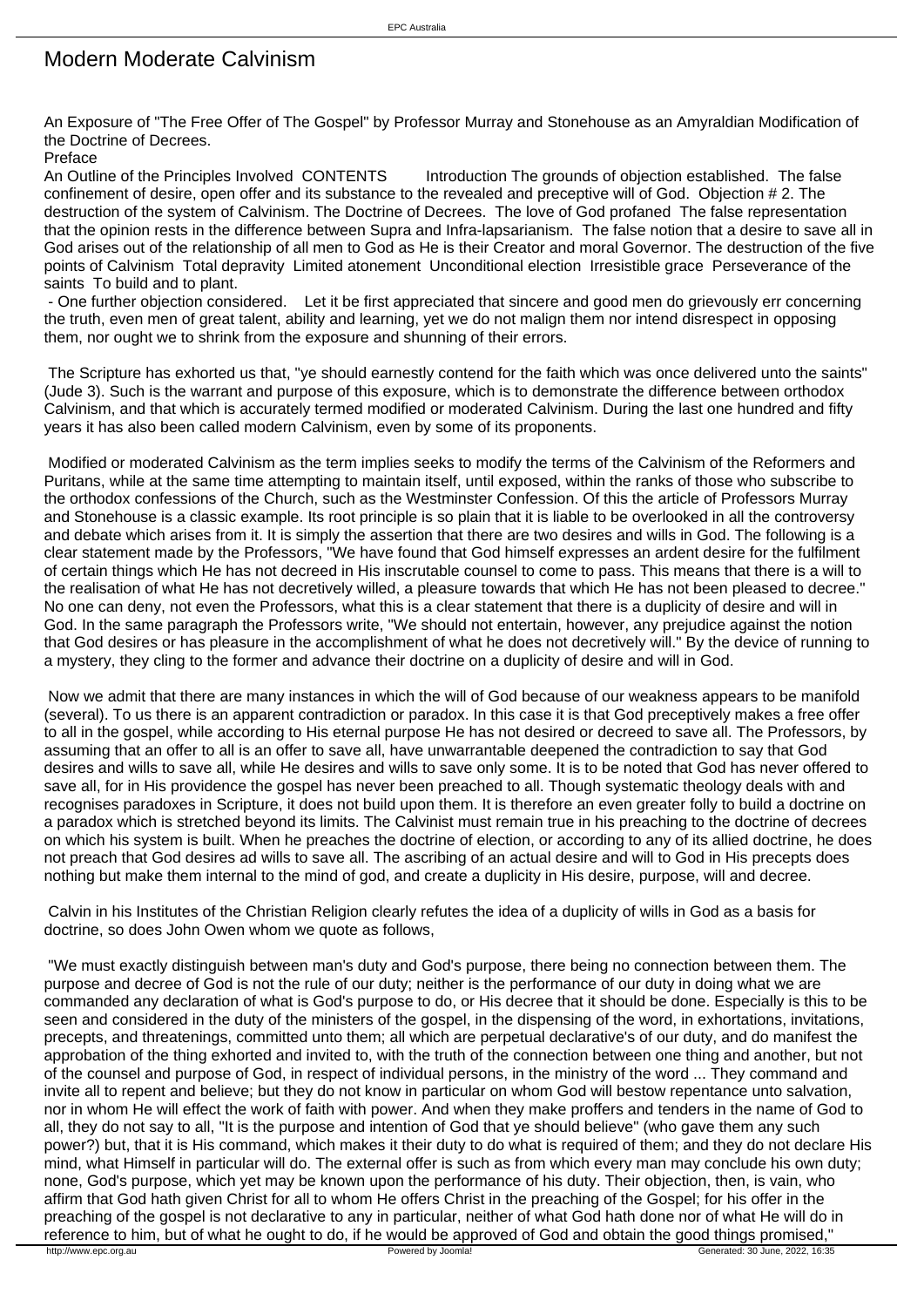## Modern Moderate Calvinism

An Exposure of "The Free Offer of The Gospel" by Professor Murray and Stonehouse as an Amyraldian Modification of the Doctrine of Decrees.

Preface

An Outline of the Principles Involved CONTENTS Introduction The grounds of objection established. The false confinement of desire, open offer and its substance to the revealed and preceptive will of God. Objection # 2. The destruction of the system of Calvinism. The Doctrine of Decrees. The love of God profaned The false representation that the opinion rests in the difference between Supra and Infra-lapsarianism. The false notion that a desire to save all in God arises out of the relationship of all men to God as He is their Creator and moral Governor. The destruction of the five points of Calvinism Total depravity Limited atonement Unconditional election Irresistible grace Perseverance of the saints To build and to plant.

 - One further objection considered. Let it be first appreciated that sincere and good men do grievously err concerning the truth, even men of great talent, ability and learning, yet we do not malign them nor intend disrespect in opposing them, nor ought we to shrink from the exposure and shunning of their errors.

 The Scripture has exhorted us that, "ye should earnestly contend for the faith which was once delivered unto the saints" (Jude 3). Such is the warrant and purpose of this exposure, which is to demonstrate the difference between orthodox Calvinism, and that which is accurately termed modified or moderated Calvinism. During the last one hundred and fifty years it has also been called modern Calvinism, even by some of its proponents.

 Modified or moderated Calvinism as the term implies seeks to modify the terms of the Calvinism of the Reformers and Puritans, while at the same time attempting to maintain itself, until exposed, within the ranks of those who subscribe to the orthodox confessions of the Church, such as the Westminster Confession. Of this the article of Professors Murray and Stonehouse is a classic example. Its root principle is so plain that it is liable to be overlooked in all the controversy and debate which arises from it. It is simply the assertion that there are two desires and wills in God. The following is a clear statement made by the Professors, "We have found that God himself expresses an ardent desire for the fulfilment of certain things which He has not decreed in His inscrutable counsel to come to pass. This means that there is a will to the realisation of what He has not decretively willed, a pleasure towards that which He has not been pleased to decree." No one can deny, not even the Professors, what this is a clear statement that there is a duplicity of desire and will in God. In the same paragraph the Professors write, "We should not entertain, however, any prejudice against the notion that God desires or has pleasure in the accomplishment of what he does not decretively will." By the device of running to a mystery, they cling to the former and advance their doctrine on a duplicity of desire and will in God.

 Now we admit that there are many instances in which the will of God because of our weakness appears to be manifold (several). To us there is an apparent contradiction or paradox. In this case it is that God preceptively makes a free offer to all in the gospel, while according to His eternal purpose He has not desired or decreed to save all. The Professors, by assuming that an offer to all is an offer to save all, have unwarrantable deepened the contradiction to say that God desires and wills to save all, while He desires and wills to save only some. It is to be noted that God has never offered to save all, for in His providence the gospel has never been preached to all. Though systematic theology deals with and recognises paradoxes in Scripture, it does not build upon them. It is therefore an even greater folly to build a doctrine on a paradox which is stretched beyond its limits. The Calvinist must remain true in his preaching to the doctrine of decrees on which his system is built. When he preaches the doctrine of election, or according to any of its allied doctrine, he does not preach that God desires ad wills to save all. The ascribing of an actual desire and will to God in His precepts does nothing but make them internal to the mind of god, and create a duplicity in His desire, purpose, will and decree.

 Calvin in his Institutes of the Christian Religion clearly refutes the idea of a duplicity of wills in God as a basis for doctrine, so does John Owen whom we quote as follows,

 "We must exactly distinguish between man's duty and God's purpose, there being no connection between them. The purpose and decree of God is not the rule of our duty; neither is the performance of our duty in doing what we are commanded any declaration of what is God's purpose to do, or His decree that it should be done. Especially is this to be seen and considered in the duty of the ministers of the gospel, in the dispensing of the word, in exhortations, invitations, precepts, and threatenings, committed unto them; all which are perpetual declarative's of our duty, and do manifest the approbation of the thing exhorted and invited to, with the truth of the connection between one thing and another, but not of the counsel and purpose of God, in respect of individual persons, in the ministry of the word ... They command and invite all to repent and believe; but they do not know in particular on whom God will bestow repentance unto salvation, nor in whom He will effect the work of faith with power. And when they make proffers and tenders in the name of God to all, they do not say to all, "It is the purpose and intention of God that ye should believe" (who gave them any such power?) but, that it is His command, which makes it their duty to do what is required of them; and they do not declare His mind, what Himself in particular will do. The external offer is such as from which every man may conclude his own duty; none, God's purpose, which yet may be known upon the performance of his duty. Their objection, then, is vain, who affirm that God hath given Christ for all to whom He offers Christ in the preaching of the Gospel; for his offer in the preaching of the gospel is not declarative to any in particular, neither of what God hath done nor of what He will do in reference to him, but of what he ought to do, if he would be approved of God and obtain the good things promised,"<br>
Powered by Joomla! Powered by Joomla! Cenerated: 30 June, 2022, 16:35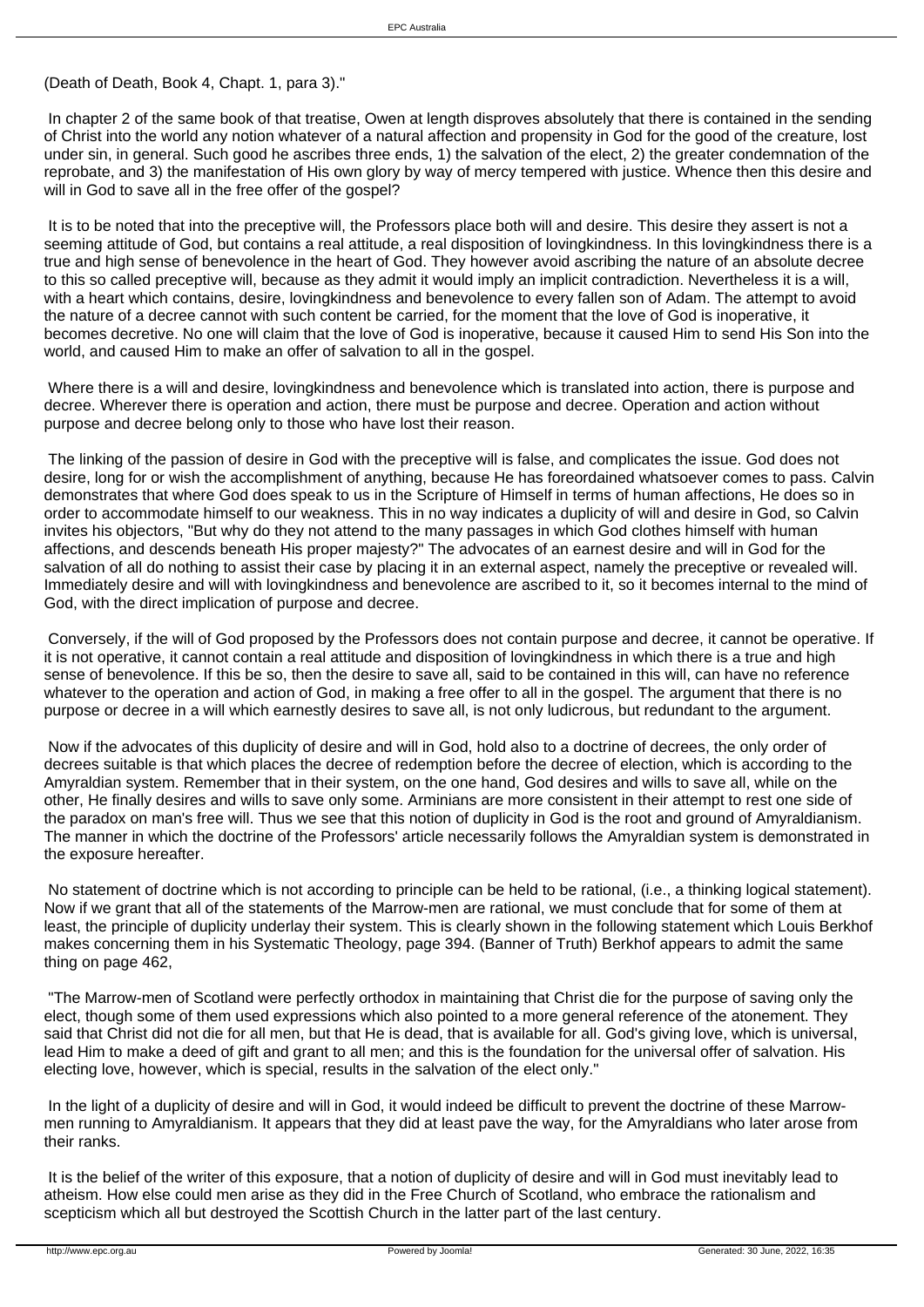(Death of Death, Book 4, Chapt. 1, para 3)."

 In chapter 2 of the same book of that treatise, Owen at length disproves absolutely that there is contained in the sending of Christ into the world any notion whatever of a natural affection and propensity in God for the good of the creature, lost under sin, in general. Such good he ascribes three ends, 1) the salvation of the elect, 2) the greater condemnation of the reprobate, and 3) the manifestation of His own glory by way of mercy tempered with justice. Whence then this desire and will in God to save all in the free offer of the gospel?

 It is to be noted that into the preceptive will, the Professors place both will and desire. This desire they assert is not a seeming attitude of God, but contains a real attitude, a real disposition of lovingkindness. In this lovingkindness there is a true and high sense of benevolence in the heart of God. They however avoid ascribing the nature of an absolute decree to this so called preceptive will, because as they admit it would imply an implicit contradiction. Nevertheless it is a will, with a heart which contains, desire, lovingkindness and benevolence to every fallen son of Adam. The attempt to avoid the nature of a decree cannot with such content be carried, for the moment that the love of God is inoperative, it becomes decretive. No one will claim that the love of God is inoperative, because it caused Him to send His Son into the world, and caused Him to make an offer of salvation to all in the gospel.

Where there is a will and desire, loving kindness and benevolence which is translated into action, there is purpose and decree. Wherever there is operation and action, there must be purpose and decree. Operation and action without purpose and decree belong only to those who have lost their reason.

 The linking of the passion of desire in God with the preceptive will is false, and complicates the issue. God does not desire, long for or wish the accomplishment of anything, because He has foreordained whatsoever comes to pass. Calvin demonstrates that where God does speak to us in the Scripture of Himself in terms of human affections, He does so in order to accommodate himself to our weakness. This in no way indicates a duplicity of will and desire in God, so Calvin invites his objectors, "But why do they not attend to the many passages in which God clothes himself with human affections, and descends beneath His proper majesty?" The advocates of an earnest desire and will in God for the salvation of all do nothing to assist their case by placing it in an external aspect, namely the preceptive or revealed will. Immediately desire and will with lovingkindness and benevolence are ascribed to it, so it becomes internal to the mind of God, with the direct implication of purpose and decree.

 Conversely, if the will of God proposed by the Professors does not contain purpose and decree, it cannot be operative. If it is not operative, it cannot contain a real attitude and disposition of lovingkindness in which there is a true and high sense of benevolence. If this be so, then the desire to save all, said to be contained in this will, can have no reference whatever to the operation and action of God, in making a free offer to all in the gospel. The argument that there is no purpose or decree in a will which earnestly desires to save all, is not only ludicrous, but redundant to the argument.

 Now if the advocates of this duplicity of desire and will in God, hold also to a doctrine of decrees, the only order of decrees suitable is that which places the decree of redemption before the decree of election, which is according to the Amyraldian system. Remember that in their system, on the one hand, God desires and wills to save all, while on the other, He finally desires and wills to save only some. Arminians are more consistent in their attempt to rest one side of the paradox on man's free will. Thus we see that this notion of duplicity in God is the root and ground of Amyraldianism. The manner in which the doctrine of the Professors' article necessarily follows the Amyraldian system is demonstrated in the exposure hereafter.

 No statement of doctrine which is not according to principle can be held to be rational, (i.e., a thinking logical statement). Now if we grant that all of the statements of the Marrow-men are rational, we must conclude that for some of them at least, the principle of duplicity underlay their system. This is clearly shown in the following statement which Louis Berkhof makes concerning them in his Systematic Theology, page 394. (Banner of Truth) Berkhof appears to admit the same thing on page 462,

 "The Marrow-men of Scotland were perfectly orthodox in maintaining that Christ die for the purpose of saving only the elect, though some of them used expressions which also pointed to a more general reference of the atonement. They said that Christ did not die for all men, but that He is dead, that is available for all. God's giving love, which is universal, lead Him to make a deed of gift and grant to all men; and this is the foundation for the universal offer of salvation. His electing love, however, which is special, results in the salvation of the elect only."

 In the light of a duplicity of desire and will in God, it would indeed be difficult to prevent the doctrine of these Marrowmen running to Amyraldianism. It appears that they did at least pave the way, for the Amyraldians who later arose from their ranks.

 It is the belief of the writer of this exposure, that a notion of duplicity of desire and will in God must inevitably lead to atheism. How else could men arise as they did in the Free Church of Scotland, who embrace the rationalism and scepticism which all but destroyed the Scottish Church in the latter part of the last century.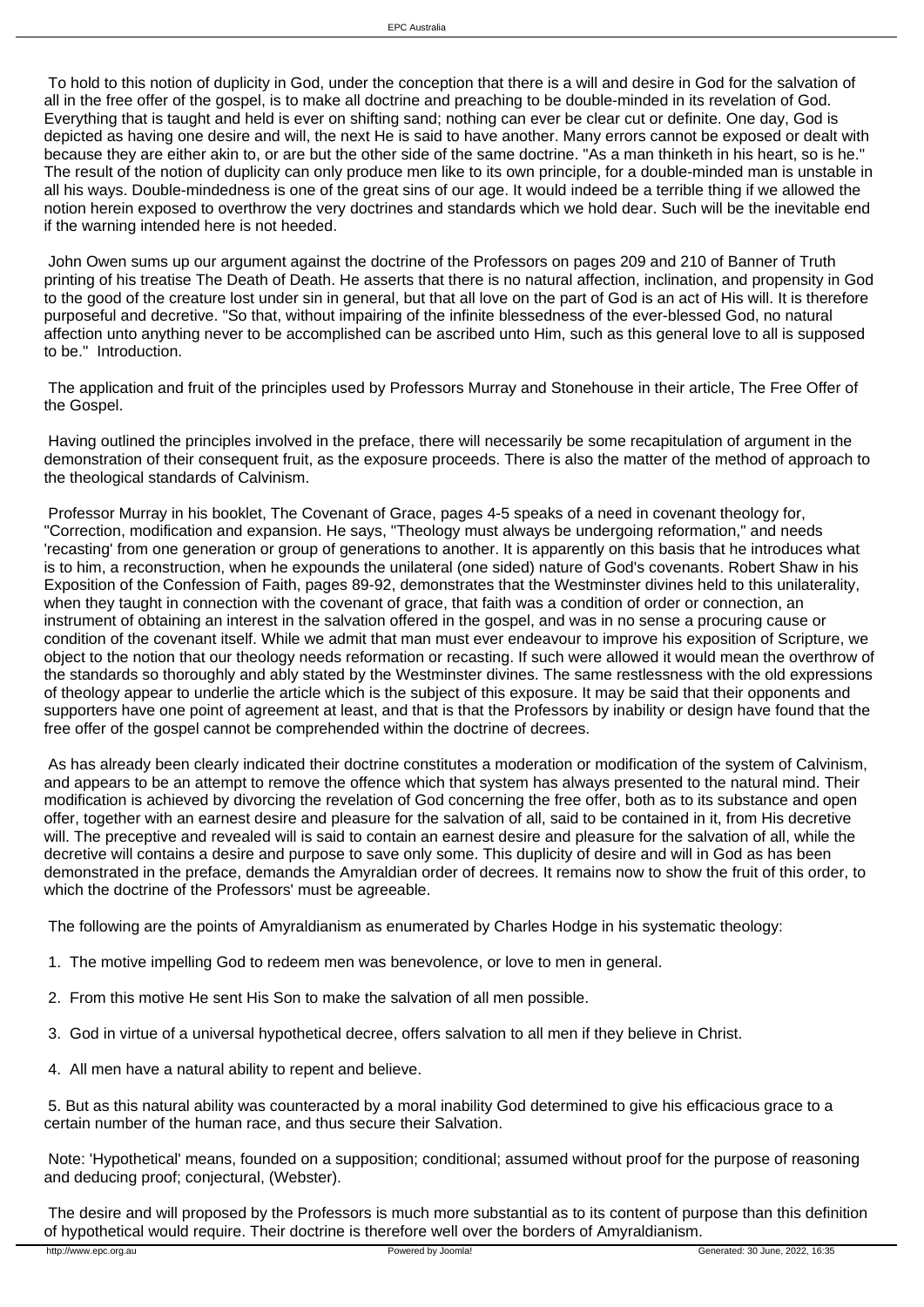To hold to this notion of duplicity in God, under the conception that there is a will and desire in God for the salvation of all in the free offer of the gospel, is to make all doctrine and preaching to be double-minded in its revelation of God. Everything that is taught and held is ever on shifting sand; nothing can ever be clear cut or definite. One day, God is depicted as having one desire and will, the next He is said to have another. Many errors cannot be exposed or dealt with because they are either akin to, or are but the other side of the same doctrine. "As a man thinketh in his heart, so is he." The result of the notion of duplicity can only produce men like to its own principle, for a double-minded man is unstable in all his ways. Double-mindedness is one of the great sins of our age. It would indeed be a terrible thing if we allowed the notion herein exposed to overthrow the very doctrines and standards which we hold dear. Such will be the inevitable end if the warning intended here is not heeded.

 John Owen sums up our argument against the doctrine of the Professors on pages 209 and 210 of Banner of Truth printing of his treatise The Death of Death. He asserts that there is no natural affection, inclination, and propensity in God to the good of the creature lost under sin in general, but that all love on the part of God is an act of His will. It is therefore purposeful and decretive. "So that, without impairing of the infinite blessedness of the ever-blessed God, no natural affection unto anything never to be accomplished can be ascribed unto Him, such as this general love to all is supposed to be." Introduction.

 The application and fruit of the principles used by Professors Murray and Stonehouse in their article, The Free Offer of the Gospel.

 Having outlined the principles involved in the preface, there will necessarily be some recapitulation of argument in the demonstration of their consequent fruit, as the exposure proceeds. There is also the matter of the method of approach to the theological standards of Calvinism.

 Professor Murray in his booklet, The Covenant of Grace, pages 4-5 speaks of a need in covenant theology for, "Correction, modification and expansion. He says, "Theology must always be undergoing reformation," and needs 'recasting' from one generation or group of generations to another. It is apparently on this basis that he introduces what is to him, a reconstruction, when he expounds the unilateral (one sided) nature of God's covenants. Robert Shaw in his Exposition of the Confession of Faith, pages 89-92, demonstrates that the Westminster divines held to this unilaterality, when they taught in connection with the covenant of grace, that faith was a condition of order or connection, an instrument of obtaining an interest in the salvation offered in the gospel, and was in no sense a procuring cause or condition of the covenant itself. While we admit that man must ever endeavour to improve his exposition of Scripture, we object to the notion that our theology needs reformation or recasting. If such were allowed it would mean the overthrow of the standards so thoroughly and ably stated by the Westminster divines. The same restlessness with the old expressions of theology appear to underlie the article which is the subject of this exposure. It may be said that their opponents and supporters have one point of agreement at least, and that is that the Professors by inability or design have found that the free offer of the gospel cannot be comprehended within the doctrine of decrees.

 As has already been clearly indicated their doctrine constitutes a moderation or modification of the system of Calvinism, and appears to be an attempt to remove the offence which that system has always presented to the natural mind. Their modification is achieved by divorcing the revelation of God concerning the free offer, both as to its substance and open offer, together with an earnest desire and pleasure for the salvation of all, said to be contained in it, from His decretive will. The preceptive and revealed will is said to contain an earnest desire and pleasure for the salvation of all, while the decretive will contains a desire and purpose to save only some. This duplicity of desire and will in God as has been demonstrated in the preface, demands the Amyraldian order of decrees. It remains now to show the fruit of this order, to which the doctrine of the Professors' must be agreeable.

The following are the points of Amyraldianism as enumerated by Charles Hodge in his systematic theology:

- 1. The motive impelling God to redeem men was benevolence, or love to men in general.
- 2. From this motive He sent His Son to make the salvation of all men possible.
- 3. God in virtue of a universal hypothetical decree, offers salvation to all men if they believe in Christ.
- 4. All men have a natural ability to repent and believe.

 5. But as this natural ability was counteracted by a moral inability God determined to give his efficacious grace to a certain number of the human race, and thus secure their Salvation.

 Note: 'Hypothetical' means, founded on a supposition; conditional; assumed without proof for the purpose of reasoning and deducing proof; conjectural, (Webster).

 The desire and will proposed by the Professors is much more substantial as to its content of purpose than this definition of hypothetical would require. Their doctrine is therefore well over the borders of Amyraldianism.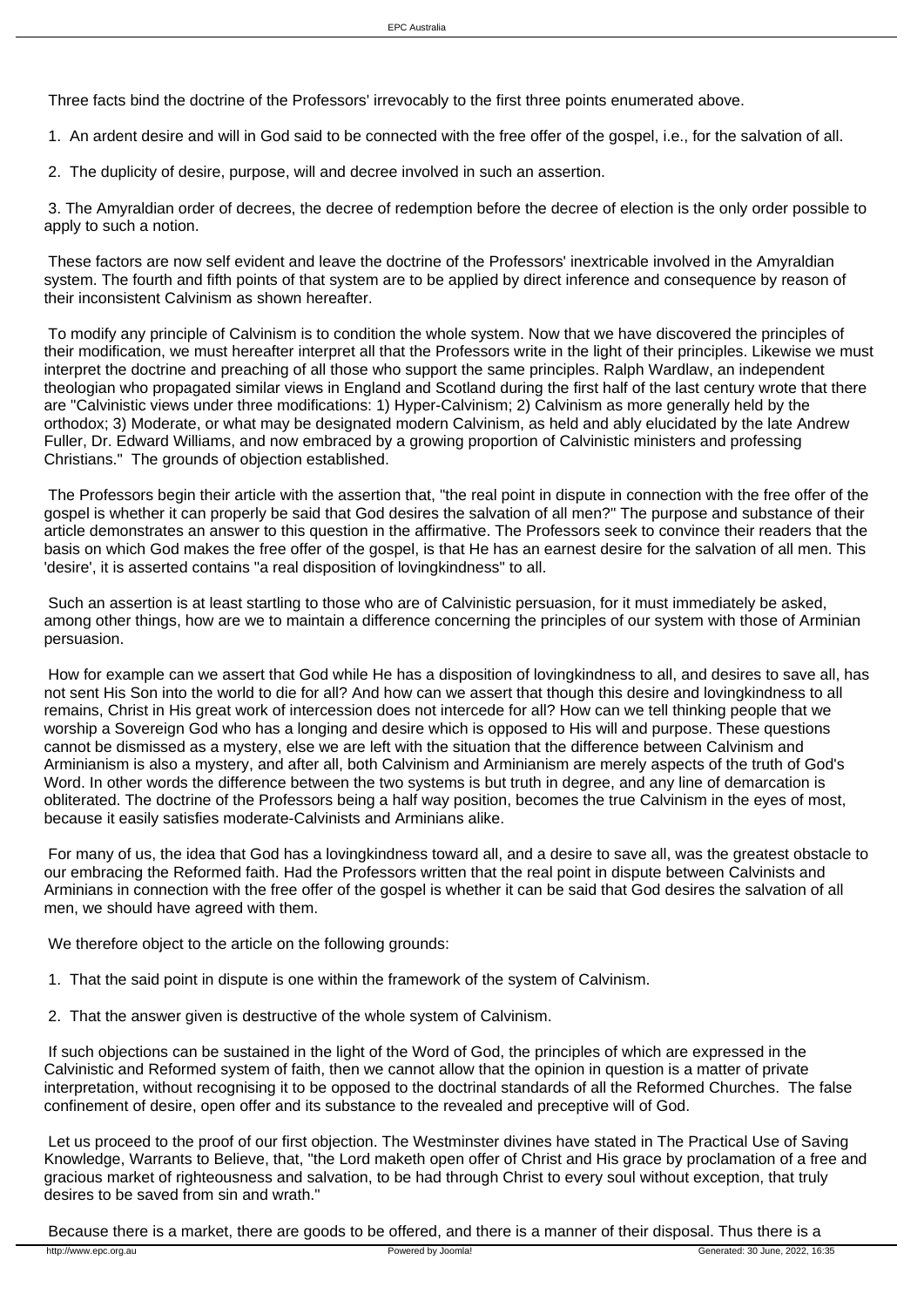Three facts bind the doctrine of the Professors' irrevocably to the first three points enumerated above.

1. An ardent desire and will in God said to be connected with the free offer of the gospel, i.e., for the salvation of all.

2. The duplicity of desire, purpose, will and decree involved in such an assertion.

 3. The Amyraldian order of decrees, the decree of redemption before the decree of election is the only order possible to apply to such a notion.

 These factors are now self evident and leave the doctrine of the Professors' inextricable involved in the Amyraldian system. The fourth and fifth points of that system are to be applied by direct inference and consequence by reason of their inconsistent Calvinism as shown hereafter.

 To modify any principle of Calvinism is to condition the whole system. Now that we have discovered the principles of their modification, we must hereafter interpret all that the Professors write in the light of their principles. Likewise we must interpret the doctrine and preaching of all those who support the same principles. Ralph Wardlaw, an independent theologian who propagated similar views in England and Scotland during the first half of the last century wrote that there are "Calvinistic views under three modifications: 1) Hyper-Calvinism; 2) Calvinism as more generally held by the orthodox; 3) Moderate, or what may be designated modern Calvinism, as held and ably elucidated by the late Andrew Fuller, Dr. Edward Williams, and now embraced by a growing proportion of Calvinistic ministers and professing Christians." The grounds of objection established.

 The Professors begin their article with the assertion that, "the real point in dispute in connection with the free offer of the gospel is whether it can properly be said that God desires the salvation of all men?" The purpose and substance of their article demonstrates an answer to this question in the affirmative. The Professors seek to convince their readers that the basis on which God makes the free offer of the gospel, is that He has an earnest desire for the salvation of all men. This 'desire', it is asserted contains "a real disposition of lovingkindness" to all.

 Such an assertion is at least startling to those who are of Calvinistic persuasion, for it must immediately be asked, among other things, how are we to maintain a difference concerning the principles of our system with those of Arminian persuasion.

 How for example can we assert that God while He has a disposition of lovingkindness to all, and desires to save all, has not sent His Son into the world to die for all? And how can we assert that though this desire and lovingkindness to all remains, Christ in His great work of intercession does not intercede for all? How can we tell thinking people that we worship a Sovereign God who has a longing and desire which is opposed to His will and purpose. These questions cannot be dismissed as a mystery, else we are left with the situation that the difference between Calvinism and Arminianism is also a mystery, and after all, both Calvinism and Arminianism are merely aspects of the truth of God's Word. In other words the difference between the two systems is but truth in degree, and any line of demarcation is obliterated. The doctrine of the Professors being a half way position, becomes the true Calvinism in the eyes of most, because it easily satisfies moderate-Calvinists and Arminians alike.

 For many of us, the idea that God has a lovingkindness toward all, and a desire to save all, was the greatest obstacle to our embracing the Reformed faith. Had the Professors written that the real point in dispute between Calvinists and Arminians in connection with the free offer of the gospel is whether it can be said that God desires the salvation of all men, we should have agreed with them.

We therefore object to the article on the following grounds:

- 1. That the said point in dispute is one within the framework of the system of Calvinism.
- 2. That the answer given is destructive of the whole system of Calvinism.

 If such objections can be sustained in the light of the Word of God, the principles of which are expressed in the Calvinistic and Reformed system of faith, then we cannot allow that the opinion in question is a matter of private interpretation, without recognising it to be opposed to the doctrinal standards of all the Reformed Churches. The false confinement of desire, open offer and its substance to the revealed and preceptive will of God.

 Let us proceed to the proof of our first objection. The Westminster divines have stated in The Practical Use of Saving Knowledge, Warrants to Believe, that, "the Lord maketh open offer of Christ and His grace by proclamation of a free and gracious market of righteousness and salvation, to be had through Christ to every soul without exception, that truly desires to be saved from sin and wrath."

Because there is a market, there are goods to be offered, and there is a manner of their disposal. Thus there is a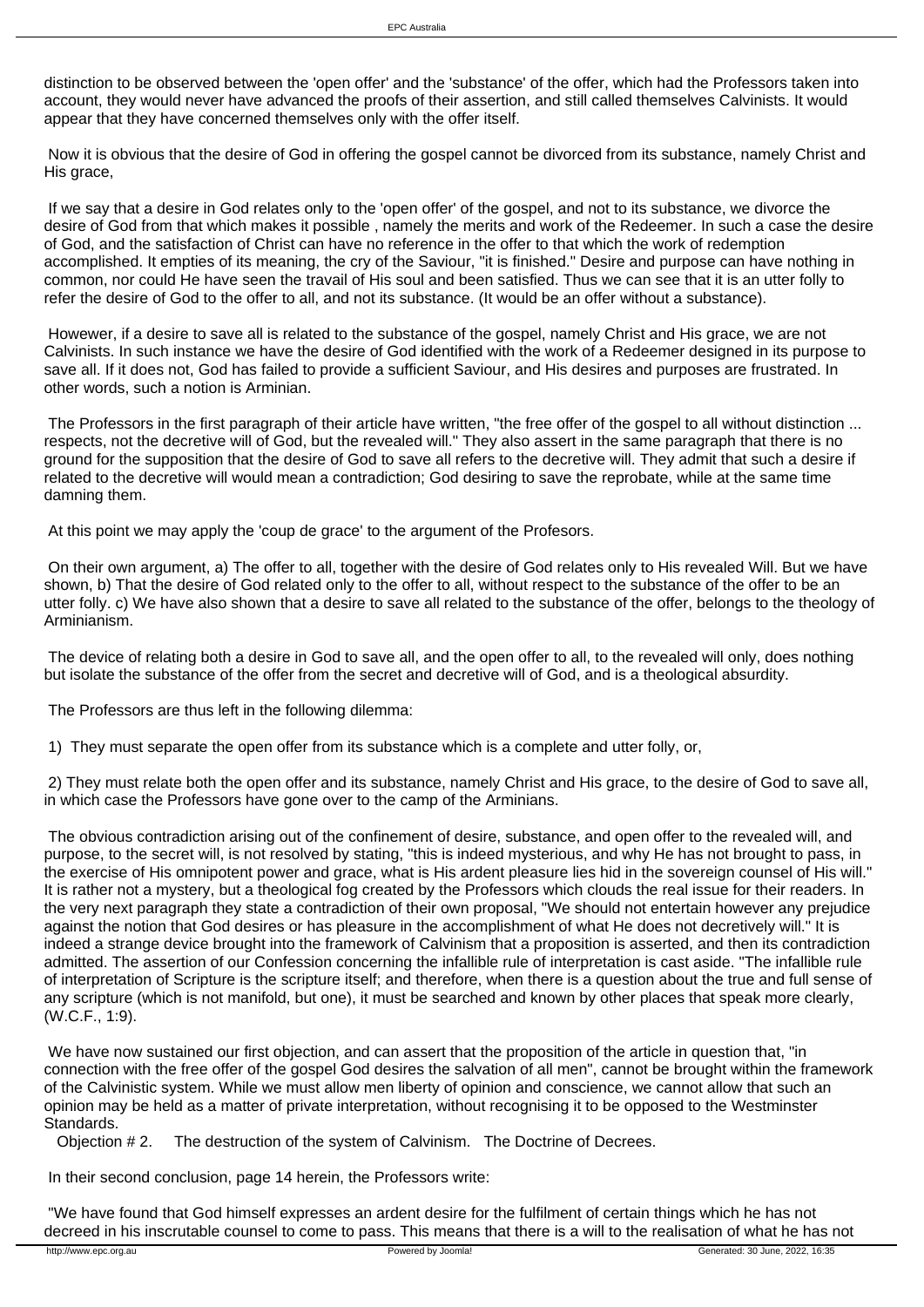distinction to be observed between the 'open offer' and the 'substance' of the offer, which had the Professors taken into account, they would never have advanced the proofs of their assertion, and still called themselves Calvinists. It would appear that they have concerned themselves only with the offer itself.

 Now it is obvious that the desire of God in offering the gospel cannot be divorced from its substance, namely Christ and His grace,

 If we say that a desire in God relates only to the 'open offer' of the gospel, and not to its substance, we divorce the desire of God from that which makes it possible , namely the merits and work of the Redeemer. In such a case the desire of God, and the satisfaction of Christ can have no reference in the offer to that which the work of redemption accomplished. It empties of its meaning, the cry of the Saviour, "it is finished." Desire and purpose can have nothing in common, nor could He have seen the travail of His soul and been satisfied. Thus we can see that it is an utter folly to refer the desire of God to the offer to all, and not its substance. (It would be an offer without a substance).

 Howewer, if a desire to save all is related to the substance of the gospel, namely Christ and His grace, we are not Calvinists. In such instance we have the desire of God identified with the work of a Redeemer designed in its purpose to save all. If it does not, God has failed to provide a sufficient Saviour, and His desires and purposes are frustrated. In other words, such a notion is Arminian.

 The Professors in the first paragraph of their article have written, "the free offer of the gospel to all without distinction ... respects, not the decretive will of God, but the revealed will." They also assert in the same paragraph that there is no ground for the supposition that the desire of God to save all refers to the decretive will. They admit that such a desire if related to the decretive will would mean a contradiction; God desiring to save the reprobate, while at the same time damning them.

At this point we may apply the 'coup de grace' to the argument of the Profesors.

 On their own argument, a) The offer to all, together with the desire of God relates only to His revealed Will. But we have shown, b) That the desire of God related only to the offer to all, without respect to the substance of the offer to be an utter folly. c) We have also shown that a desire to save all related to the substance of the offer, belongs to the theology of Arminianism.

 The device of relating both a desire in God to save all, and the open offer to all, to the revealed will only, does nothing but isolate the substance of the offer from the secret and decretive will of God, and is a theological absurdity.

The Professors are thus left in the following dilemma:

1) They must separate the open offer from its substance which is a complete and utter folly, or,

 2) They must relate both the open offer and its substance, namely Christ and His grace, to the desire of God to save all, in which case the Professors have gone over to the camp of the Arminians.

 The obvious contradiction arising out of the confinement of desire, substance, and open offer to the revealed will, and purpose, to the secret will, is not resolved by stating, "this is indeed mysterious, and why He has not brought to pass, in the exercise of His omnipotent power and grace, what is His ardent pleasure lies hid in the sovereign counsel of His will." It is rather not a mystery, but a theological fog created by the Professors which clouds the real issue for their readers. In the very next paragraph they state a contradiction of their own proposal, "We should not entertain however any prejudice against the notion that God desires or has pleasure in the accomplishment of what He does not decretively will." It is indeed a strange device brought into the framework of Calvinism that a proposition is asserted, and then its contradiction admitted. The assertion of our Confession concerning the infallible rule of interpretation is cast aside. "The infallible rule of interpretation of Scripture is the scripture itself; and therefore, when there is a question about the true and full sense of any scripture (which is not manifold, but one), it must be searched and known by other places that speak more clearly, (W.C.F., 1:9).

 We have now sustained our first objection, and can assert that the proposition of the article in question that, "in connection with the free offer of the gospel God desires the salvation of all men", cannot be brought within the framework of the Calvinistic system. While we must allow men liberty of opinion and conscience, we cannot allow that such an opinion may be held as a matter of private interpretation, without recognising it to be opposed to the Westminster Standards.

Objection # 2. The destruction of the system of Calvinism. The Doctrine of Decrees.

In their second conclusion, page 14 herein, the Professors write:

 "We have found that God himself expresses an ardent desire for the fulfilment of certain things which he has not decreed in his inscrutable counsel to come to pass. This means that there is a will to the realisation of what he has not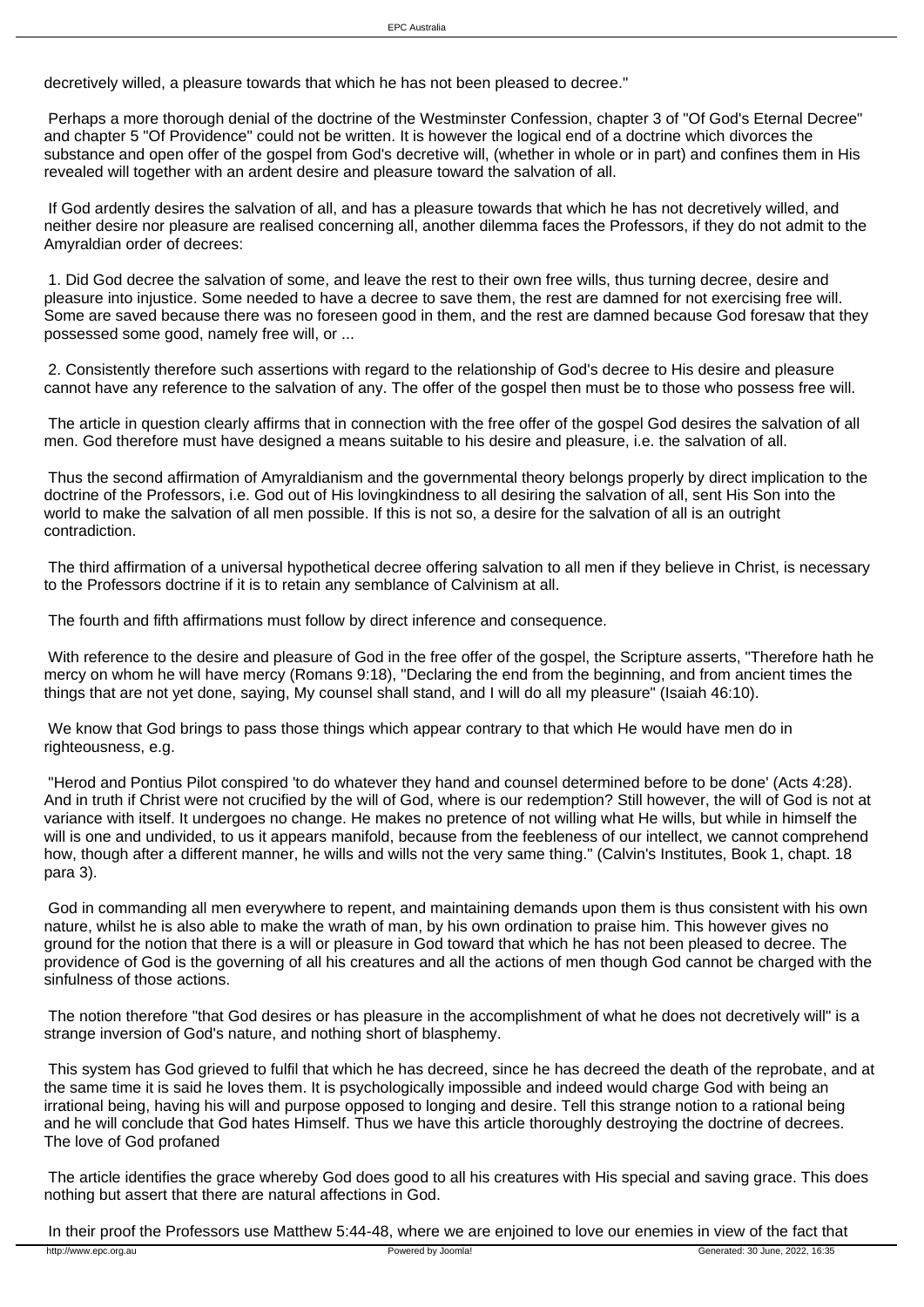decretively willed, a pleasure towards that which he has not been pleased to decree."

 Perhaps a more thorough denial of the doctrine of the Westminster Confession, chapter 3 of "Of God's Eternal Decree" and chapter 5 "Of Providence" could not be written. It is however the logical end of a doctrine which divorces the substance and open offer of the gospel from God's decretive will, (whether in whole or in part) and confines them in His revealed will together with an ardent desire and pleasure toward the salvation of all.

 If God ardently desires the salvation of all, and has a pleasure towards that which he has not decretively willed, and neither desire nor pleasure are realised concerning all, another dilemma faces the Professors, if they do not admit to the Amyraldian order of decrees:

 1. Did God decree the salvation of some, and leave the rest to their own free wills, thus turning decree, desire and pleasure into injustice. Some needed to have a decree to save them, the rest are damned for not exercising free will. Some are saved because there was no foreseen good in them, and the rest are damned because God foresaw that they possessed some good, namely free will, or ...

 2. Consistently therefore such assertions with regard to the relationship of God's decree to His desire and pleasure cannot have any reference to the salvation of any. The offer of the gospel then must be to those who possess free will.

 The article in question clearly affirms that in connection with the free offer of the gospel God desires the salvation of all men. God therefore must have designed a means suitable to his desire and pleasure, i.e. the salvation of all.

 Thus the second affirmation of Amyraldianism and the governmental theory belongs properly by direct implication to the doctrine of the Professors, i.e. God out of His lovingkindness to all desiring the salvation of all, sent His Son into the world to make the salvation of all men possible. If this is not so, a desire for the salvation of all is an outright contradiction.

 The third affirmation of a universal hypothetical decree offering salvation to all men if they believe in Christ, is necessary to the Professors doctrine if it is to retain any semblance of Calvinism at all.

The fourth and fifth affirmations must follow by direct inference and consequence.

 With reference to the desire and pleasure of God in the free offer of the gospel, the Scripture asserts, "Therefore hath he mercy on whom he will have mercy (Romans 9:18), "Declaring the end from the beginning, and from ancient times the things that are not yet done, saying, My counsel shall stand, and I will do all my pleasure" (Isaiah 46:10).

 We know that God brings to pass those things which appear contrary to that which He would have men do in righteousness, e.g.

 "Herod and Pontius Pilot conspired 'to do whatever they hand and counsel determined before to be done' (Acts 4:28). And in truth if Christ were not crucified by the will of God, where is our redemption? Still however, the will of God is not at variance with itself. It undergoes no change. He makes no pretence of not willing what He wills, but while in himself the will is one and undivided, to us it appears manifold, because from the feebleness of our intellect, we cannot comprehend how, though after a different manner, he wills and wills not the very same thing." (Calvin's Institutes, Book 1, chapt. 18 para 3).

 God in commanding all men everywhere to repent, and maintaining demands upon them is thus consistent with his own nature, whilst he is also able to make the wrath of man, by his own ordination to praise him. This however gives no ground for the notion that there is a will or pleasure in God toward that which he has not been pleased to decree. The providence of God is the governing of all his creatures and all the actions of men though God cannot be charged with the sinfulness of those actions.

 The notion therefore "that God desires or has pleasure in the accomplishment of what he does not decretively will" is a strange inversion of God's nature, and nothing short of blasphemy.

 This system has God grieved to fulfil that which he has decreed, since he has decreed the death of the reprobate, and at the same time it is said he loves them. It is psychologically impossible and indeed would charge God with being an irrational being, having his will and purpose opposed to longing and desire. Tell this strange notion to a rational being and he will conclude that God hates Himself. Thus we have this article thoroughly destroying the doctrine of decrees. The love of God profaned

 The article identifies the grace whereby God does good to all his creatures with His special and saving grace. This does nothing but assert that there are natural affections in God.

In their proof the Professors use Matthew 5:44-48, where we are enjoined to love our enemies in view of the fact that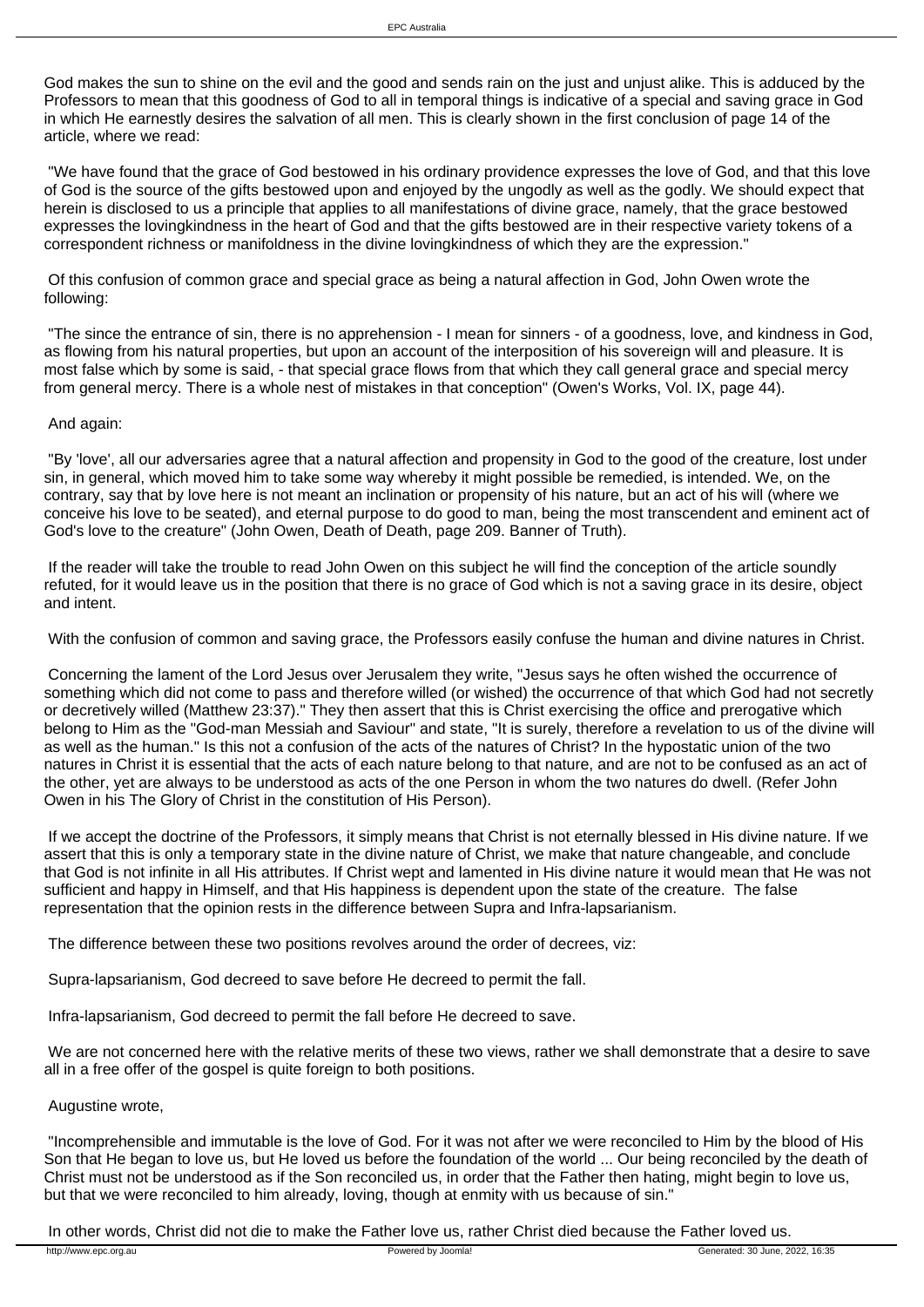God makes the sun to shine on the evil and the good and sends rain on the just and unjust alike. This is adduced by the Professors to mean that this goodness of God to all in temporal things is indicative of a special and saving grace in God in which He earnestly desires the salvation of all men. This is clearly shown in the first conclusion of page 14 of the article, where we read:

 "We have found that the grace of God bestowed in his ordinary providence expresses the love of God, and that this love of God is the source of the gifts bestowed upon and enjoyed by the ungodly as well as the godly. We should expect that herein is disclosed to us a principle that applies to all manifestations of divine grace, namely, that the grace bestowed expresses the lovingkindness in the heart of God and that the gifts bestowed are in their respective variety tokens of a correspondent richness or manifoldness in the divine lovingkindness of which they are the expression."

 Of this confusion of common grace and special grace as being a natural affection in God, John Owen wrote the following:

 "The since the entrance of sin, there is no apprehension - I mean for sinners - of a goodness, love, and kindness in God, as flowing from his natural properties, but upon an account of the interposition of his sovereign will and pleasure. It is most false which by some is said, - that special grace flows from that which they call general grace and special mercy from general mercy. There is a whole nest of mistakes in that conception" (Owen's Works, Vol. IX, page 44).

## And again:

 "By 'love', all our adversaries agree that a natural affection and propensity in God to the good of the creature, lost under sin, in general, which moved him to take some way whereby it might possible be remedied, is intended. We, on the contrary, say that by love here is not meant an inclination or propensity of his nature, but an act of his will (where we conceive his love to be seated), and eternal purpose to do good to man, being the most transcendent and eminent act of God's love to the creature" (John Owen, Death of Death, page 209. Banner of Truth).

 If the reader will take the trouble to read John Owen on this subject he will find the conception of the article soundly refuted, for it would leave us in the position that there is no grace of God which is not a saving grace in its desire, object and intent.

With the confusion of common and saving grace, the Professors easily confuse the human and divine natures in Christ.

 Concerning the lament of the Lord Jesus over Jerusalem they write, "Jesus says he often wished the occurrence of something which did not come to pass and therefore willed (or wished) the occurrence of that which God had not secretly or decretively willed (Matthew 23:37)." They then assert that this is Christ exercising the office and prerogative which belong to Him as the "God-man Messiah and Saviour" and state, "It is surely, therefore a revelation to us of the divine will as well as the human." Is this not a confusion of the acts of the natures of Christ? In the hypostatic union of the two natures in Christ it is essential that the acts of each nature belong to that nature, and are not to be confused as an act of the other, yet are always to be understood as acts of the one Person in whom the two natures do dwell. (Refer John Owen in his The Glory of Christ in the constitution of His Person).

 If we accept the doctrine of the Professors, it simply means that Christ is not eternally blessed in His divine nature. If we assert that this is only a temporary state in the divine nature of Christ, we make that nature changeable, and conclude that God is not infinite in all His attributes. If Christ wept and lamented in His divine nature it would mean that He was not sufficient and happy in Himself, and that His happiness is dependent upon the state of the creature. The false representation that the opinion rests in the difference between Supra and Infra-lapsarianism.

The difference between these two positions revolves around the order of decrees, viz:

Supra-lapsarianism, God decreed to save before He decreed to permit the fall.

Infra-lapsarianism, God decreed to permit the fall before He decreed to save.

We are not concerned here with the relative merits of these two views, rather we shall demonstrate that a desire to save all in a free offer of the gospel is quite foreign to both positions.

## Augustine wrote,

 "Incomprehensible and immutable is the love of God. For it was not after we were reconciled to Him by the blood of His Son that He began to love us, but He loved us before the foundation of the world ... Our being reconciled by the death of Christ must not be understood as if the Son reconciled us, in order that the Father then hating, might begin to love us, but that we were reconciled to him already, loving, though at enmity with us because of sin."

In other words, Christ did not die to make the Father love us, rather Christ died because the Father loved us.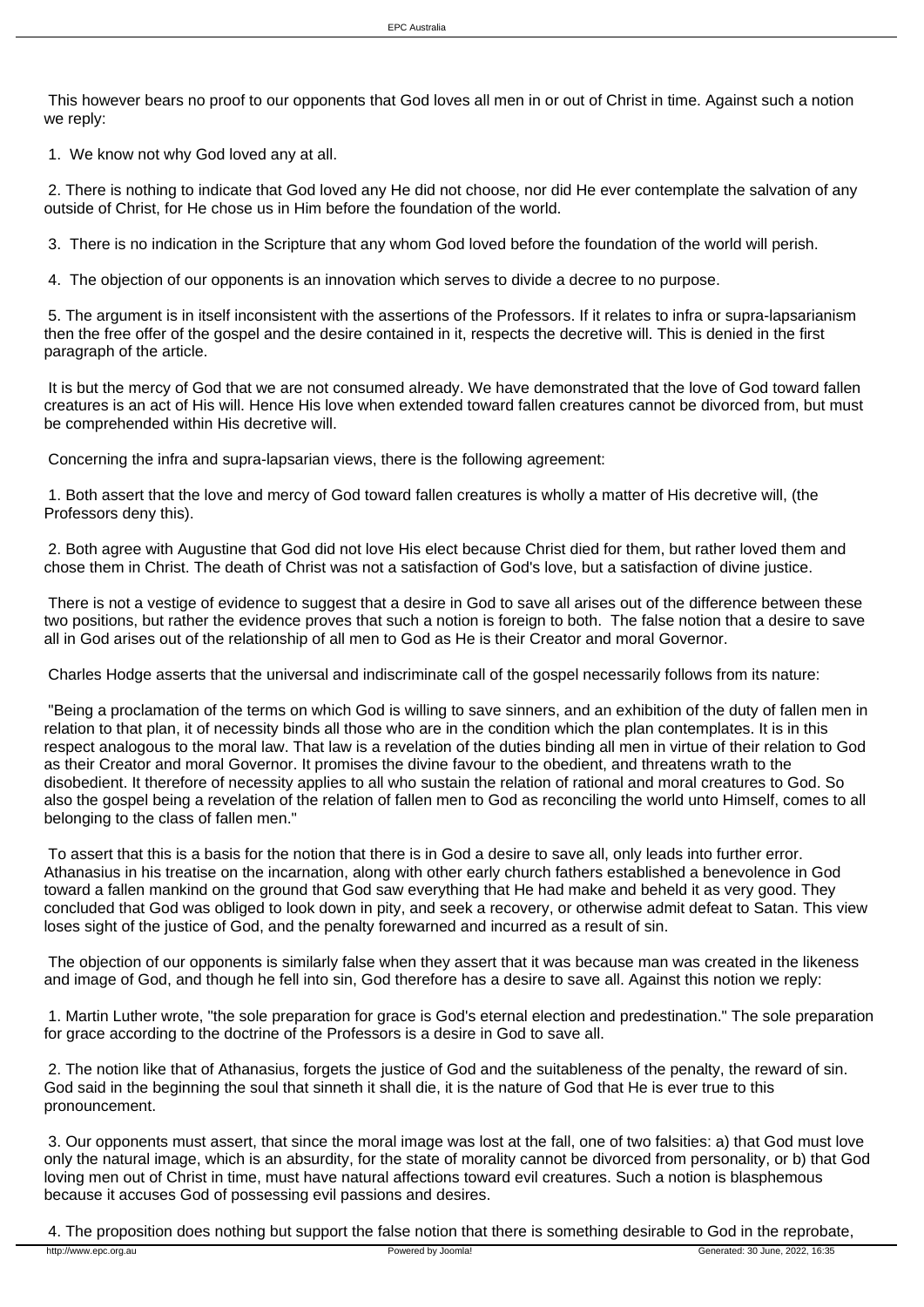This however bears no proof to our opponents that God loves all men in or out of Christ in time. Against such a notion we reply:

1. We know not why God loved any at all.

 2. There is nothing to indicate that God loved any He did not choose, nor did He ever contemplate the salvation of any outside of Christ, for He chose us in Him before the foundation of the world.

3. There is no indication in the Scripture that any whom God loved before the foundation of the world will perish.

4. The objection of our opponents is an innovation which serves to divide a decree to no purpose.

 5. The argument is in itself inconsistent with the assertions of the Professors. If it relates to infra or supra-lapsarianism then the free offer of the gospel and the desire contained in it, respects the decretive will. This is denied in the first paragraph of the article.

 It is but the mercy of God that we are not consumed already. We have demonstrated that the love of God toward fallen creatures is an act of His will. Hence His love when extended toward fallen creatures cannot be divorced from, but must be comprehended within His decretive will.

Concerning the infra and supra-lapsarian views, there is the following agreement:

 1. Both assert that the love and mercy of God toward fallen creatures is wholly a matter of His decretive will, (the Professors deny this).

 2. Both agree with Augustine that God did not love His elect because Christ died for them, but rather loved them and chose them in Christ. The death of Christ was not a satisfaction of God's love, but a satisfaction of divine justice.

 There is not a vestige of evidence to suggest that a desire in God to save all arises out of the difference between these two positions, but rather the evidence proves that such a notion is foreign to both. The false notion that a desire to save all in God arises out of the relationship of all men to God as He is their Creator and moral Governor.

Charles Hodge asserts that the universal and indiscriminate call of the gospel necessarily follows from its nature:

 "Being a proclamation of the terms on which God is willing to save sinners, and an exhibition of the duty of fallen men in relation to that plan, it of necessity binds all those who are in the condition which the plan contemplates. It is in this respect analogous to the moral law. That law is a revelation of the duties binding all men in virtue of their relation to God as their Creator and moral Governor. It promises the divine favour to the obedient, and threatens wrath to the disobedient. It therefore of necessity applies to all who sustain the relation of rational and moral creatures to God. So also the gospel being a revelation of the relation of fallen men to God as reconciling the world unto Himself, comes to all belonging to the class of fallen men."

 To assert that this is a basis for the notion that there is in God a desire to save all, only leads into further error. Athanasius in his treatise on the incarnation, along with other early church fathers established a benevolence in God toward a fallen mankind on the ground that God saw everything that He had make and beheld it as very good. They concluded that God was obliged to look down in pity, and seek a recovery, or otherwise admit defeat to Satan. This view loses sight of the justice of God, and the penalty forewarned and incurred as a result of sin.

 The objection of our opponents is similarly false when they assert that it was because man was created in the likeness and image of God, and though he fell into sin, God therefore has a desire to save all. Against this notion we reply:

 1. Martin Luther wrote, "the sole preparation for grace is God's eternal election and predestination." The sole preparation for grace according to the doctrine of the Professors is a desire in God to save all.

 2. The notion like that of Athanasius, forgets the justice of God and the suitableness of the penalty, the reward of sin. God said in the beginning the soul that sinneth it shall die, it is the nature of God that He is ever true to this pronouncement.

 3. Our opponents must assert, that since the moral image was lost at the fall, one of two falsities: a) that God must love only the natural image, which is an absurdity, for the state of morality cannot be divorced from personality, or b) that God loving men out of Christ in time, must have natural affections toward evil creatures. Such a notion is blasphemous because it accuses God of possessing evil passions and desires.

4. The proposition does nothing but support the false notion that there is something desirable to God in the reprobate,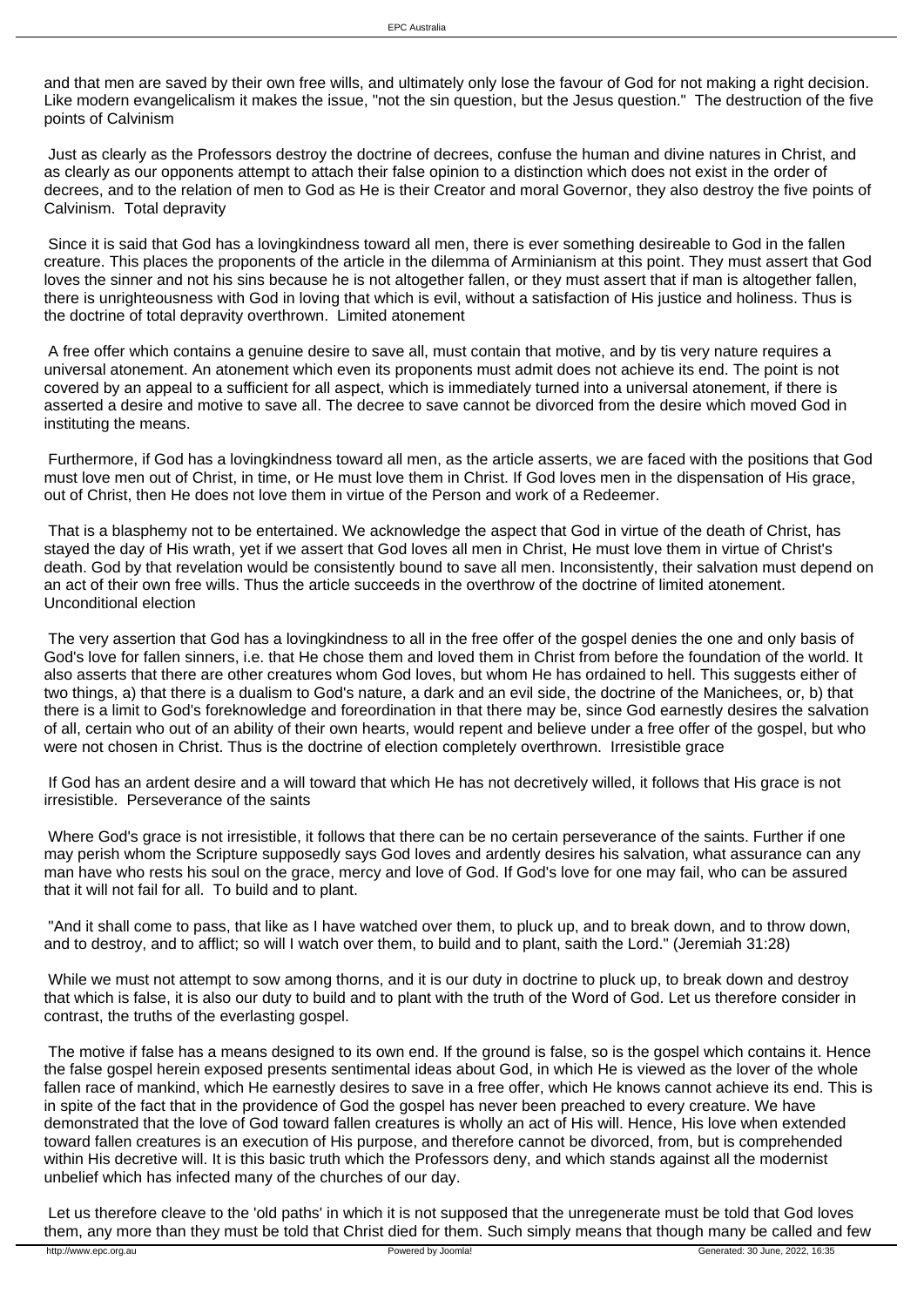and that men are saved by their own free wills, and ultimately only lose the favour of God for not making a right decision. Like modern evangelicalism it makes the issue, "not the sin question, but the Jesus question." The destruction of the five points of Calvinism

 Just as clearly as the Professors destroy the doctrine of decrees, confuse the human and divine natures in Christ, and as clearly as our opponents attempt to attach their false opinion to a distinction which does not exist in the order of decrees, and to the relation of men to God as He is their Creator and moral Governor, they also destroy the five points of Calvinism. Total depravity

 Since it is said that God has a lovingkindness toward all men, there is ever something desireable to God in the fallen creature. This places the proponents of the article in the dilemma of Arminianism at this point. They must assert that God loves the sinner and not his sins because he is not altogether fallen, or they must assert that if man is altogether fallen, there is unrighteousness with God in loving that which is evil, without a satisfaction of His justice and holiness. Thus is the doctrine of total depravity overthrown. Limited atonement

 A free offer which contains a genuine desire to save all, must contain that motive, and by tis very nature requires a universal atonement. An atonement which even its proponents must admit does not achieve its end. The point is not covered by an appeal to a sufficient for all aspect, which is immediately turned into a universal atonement, if there is asserted a desire and motive to save all. The decree to save cannot be divorced from the desire which moved God in instituting the means.

 Furthermore, if God has a lovingkindness toward all men, as the article asserts, we are faced with the positions that God must love men out of Christ, in time, or He must love them in Christ. If God loves men in the dispensation of His grace, out of Christ, then He does not love them in virtue of the Person and work of a Redeemer.

 That is a blasphemy not to be entertained. We acknowledge the aspect that God in virtue of the death of Christ, has stayed the day of His wrath, yet if we assert that God loves all men in Christ, He must love them in virtue of Christ's death. God by that revelation would be consistently bound to save all men. Inconsistently, their salvation must depend on an act of their own free wills. Thus the article succeeds in the overthrow of the doctrine of limited atonement. Unconditional election

 The very assertion that God has a lovingkindness to all in the free offer of the gospel denies the one and only basis of God's love for fallen sinners, i.e. that He chose them and loved them in Christ from before the foundation of the world. It also asserts that there are other creatures whom God loves, but whom He has ordained to hell. This suggests either of two things, a) that there is a dualism to God's nature, a dark and an evil side, the doctrine of the Manichees, or, b) that there is a limit to God's foreknowledge and foreordination in that there may be, since God earnestly desires the salvation of all, certain who out of an ability of their own hearts, would repent and believe under a free offer of the gospel, but who were not chosen in Christ. Thus is the doctrine of election completely overthrown. Irresistible grace

 If God has an ardent desire and a will toward that which He has not decretively willed, it follows that His grace is not irresistible. Perseverance of the saints

Where God's grace is not irresistible, it follows that there can be no certain perseverance of the saints. Further if one may perish whom the Scripture supposedly says God loves and ardently desires his salvation, what assurance can any man have who rests his soul on the grace, mercy and love of God. If God's love for one may fail, who can be assured that it will not fail for all. To build and to plant.

 "And it shall come to pass, that like as I have watched over them, to pluck up, and to break down, and to throw down, and to destroy, and to afflict; so will I watch over them, to build and to plant, saith the Lord." (Jeremiah 31:28)

While we must not attempt to sow among thorns, and it is our duty in doctrine to pluck up, to break down and destroy that which is false, it is also our duty to build and to plant with the truth of the Word of God. Let us therefore consider in contrast, the truths of the everlasting gospel.

 The motive if false has a means designed to its own end. If the ground is false, so is the gospel which contains it. Hence the false gospel herein exposed presents sentimental ideas about God, in which He is viewed as the lover of the whole fallen race of mankind, which He earnestly desires to save in a free offer, which He knows cannot achieve its end. This is in spite of the fact that in the providence of God the gospel has never been preached to every creature. We have demonstrated that the love of God toward fallen creatures is wholly an act of His will. Hence, His love when extended toward fallen creatures is an execution of His purpose, and therefore cannot be divorced, from, but is comprehended within His decretive will. It is this basic truth which the Professors deny, and which stands against all the modernist unbelief which has infected many of the churches of our day.

 Let us therefore cleave to the 'old paths' in which it is not supposed that the unregenerate must be told that God loves them, any more than they must be told that Christ died for them. Such simply means that though many be called and few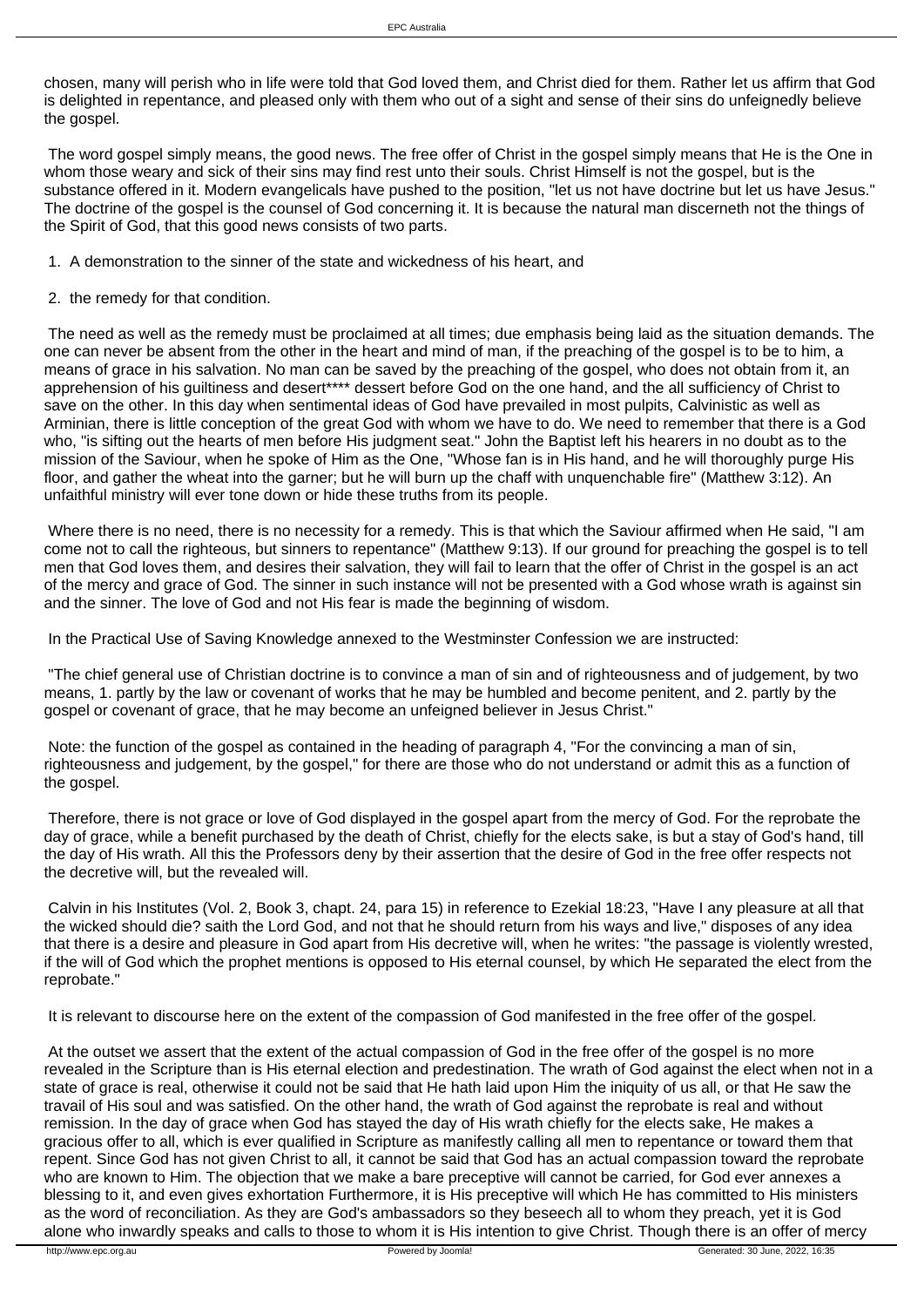chosen, many will perish who in life were told that God loved them, and Christ died for them. Rather let us affirm that God is delighted in repentance, and pleased only with them who out of a sight and sense of their sins do unfeignedly believe the gospel.

 The word gospel simply means, the good news. The free offer of Christ in the gospel simply means that He is the One in whom those weary and sick of their sins may find rest unto their souls. Christ Himself is not the gospel, but is the substance offered in it. Modern evangelicals have pushed to the position, "let us not have doctrine but let us have Jesus." The doctrine of the gospel is the counsel of God concerning it. It is because the natural man discerneth not the things of the Spirit of God, that this good news consists of two parts.

- 1. A demonstration to the sinner of the state and wickedness of his heart, and
- 2. the remedy for that condition.

 The need as well as the remedy must be proclaimed at all times; due emphasis being laid as the situation demands. The one can never be absent from the other in the heart and mind of man, if the preaching of the gospel is to be to him, a means of grace in his salvation. No man can be saved by the preaching of the gospel, who does not obtain from it, an apprehension of his quiltiness and desert\*\*\*\* dessert before God on the one hand, and the all sufficiency of Christ to save on the other. In this day when sentimental ideas of God have prevailed in most pulpits, Calvinistic as well as Arminian, there is little conception of the great God with whom we have to do. We need to remember that there is a God who, "is sifting out the hearts of men before His judgment seat." John the Baptist left his hearers in no doubt as to the mission of the Saviour, when he spoke of Him as the One, "Whose fan is in His hand, and he will thoroughly purge His floor, and gather the wheat into the garner; but he will burn up the chaff with unquenchable fire" (Matthew 3:12). An unfaithful ministry will ever tone down or hide these truths from its people.

Where there is no need, there is no necessity for a remedy. This is that which the Saviour affirmed when He said, "I am come not to call the righteous, but sinners to repentance" (Matthew 9:13). If our ground for preaching the gospel is to tell men that God loves them, and desires their salvation, they will fail to learn that the offer of Christ in the gospel is an act of the mercy and grace of God. The sinner in such instance will not be presented with a God whose wrath is against sin and the sinner. The love of God and not His fear is made the beginning of wisdom.

In the Practical Use of Saving Knowledge annexed to the Westminster Confession we are instructed:

 "The chief general use of Christian doctrine is to convince a man of sin and of righteousness and of judgement, by two means, 1. partly by the law or covenant of works that he may be humbled and become penitent, and 2. partly by the gospel or covenant of grace, that he may become an unfeigned believer in Jesus Christ."

 Note: the function of the gospel as contained in the heading of paragraph 4, "For the convincing a man of sin, righteousness and judgement, by the gospel," for there are those who do not understand or admit this as a function of the gospel.

 Therefore, there is not grace or love of God displayed in the gospel apart from the mercy of God. For the reprobate the day of grace, while a benefit purchased by the death of Christ, chiefly for the elects sake, is but a stay of God's hand, till the day of His wrath. All this the Professors deny by their assertion that the desire of God in the free offer respects not the decretive will, but the revealed will.

 Calvin in his Institutes (Vol. 2, Book 3, chapt. 24, para 15) in reference to Ezekial 18:23, "Have I any pleasure at all that the wicked should die? saith the Lord God, and not that he should return from his ways and live," disposes of any idea that there is a desire and pleasure in God apart from His decretive will, when he writes: "the passage is violently wrested, if the will of God which the prophet mentions is opposed to His eternal counsel, by which He separated the elect from the reprobate."

It is relevant to discourse here on the extent of the compassion of God manifested in the free offer of the gospel.

 At the outset we assert that the extent of the actual compassion of God in the free offer of the gospel is no more revealed in the Scripture than is His eternal election and predestination. The wrath of God against the elect when not in a state of grace is real, otherwise it could not be said that He hath laid upon Him the iniquity of us all, or that He saw the travail of His soul and was satisfied. On the other hand, the wrath of God against the reprobate is real and without remission. In the day of grace when God has stayed the day of His wrath chiefly for the elects sake, He makes a gracious offer to all, which is ever qualified in Scripture as manifestly calling all men to repentance or toward them that repent. Since God has not given Christ to all, it cannot be said that God has an actual compassion toward the reprobate who are known to Him. The objection that we make a bare preceptive will cannot be carried, for God ever annexes a blessing to it, and even gives exhortation Furthermore, it is His preceptive will which He has committed to His ministers as the word of reconciliation. As they are God's ambassadors so they beseech all to whom they preach, yet it is God alone who inwardly speaks and calls to those to whom it is His intention to give Christ. Though there is an offer of mercy